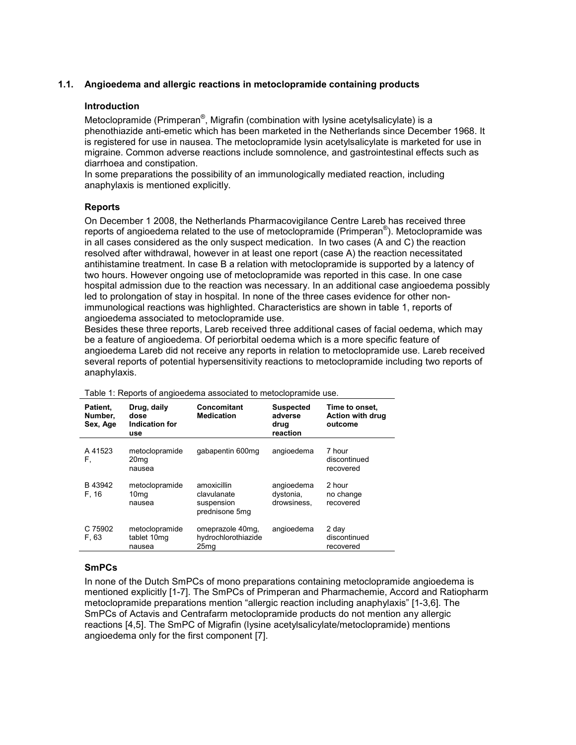# 1.1. Angioedema and allergic reactions in metoclopramide containing products

## Introduction

Metoclopramide (Primperan<sup>®</sup>, Migrafin (combination with lysine acetylsalicylate) is a phenothiazide anti-emetic which has been marketed in the Netherlands since December 1968. It is registered for use in nausea. The metoclopramide lysin acetylsalicylate is marketed for use in migraine. Common adverse reactions include somnolence, and gastrointestinal effects such as diarrhoea and constipation.

In some preparations the possibility of an immunologically mediated reaction, including anaphylaxis is mentioned explicitly.

#### Reports

On December 1 2008, the Netherlands Pharmacovigilance Centre Lareb has received three reports of angioedema related to the use of metoclopramide (Primperan®). Metoclopramide was in all cases considered as the only suspect medication. In two cases (A and C) the reaction resolved after withdrawal, however in at least one report (case A) the reaction necessitated antihistamine treatment. In case B a relation with metoclopramide is supported by a latency of two hours. However ongoing use of metoclopramide was reported in this case. In one case hospital admission due to the reaction was necessary. In an additional case angioedema possibly led to prolongation of stay in hospital. In none of the three cases evidence for other nonimmunological reactions was highlighted. Characteristics are shown in table 1, reports of angioedema associated to metoclopramide use.

Besides these three reports, Lareb received three additional cases of facial oedema, which may be a feature of angioedema. Of periorbital oedema which is a more specific feature of angioedema Lareb did not receive any reports in relation to metoclopramide use. Lareb received several reports of potential hypersensitivity reactions to metoclopramide including two reports of anaphylaxis.

| Patient,<br>Number,<br>Sex, Age | Drug, daily<br>dose<br>Indication for<br>use | Concomitant<br><b>Medication</b>                            | <b>Suspected</b><br>adverse<br>drug<br>reaction | Time to onset.<br><b>Action with drug</b><br>outcome |
|---------------------------------|----------------------------------------------|-------------------------------------------------------------|-------------------------------------------------|------------------------------------------------------|
| A 41523<br>F,                   | metoclopramide<br>20 <sub>mq</sub><br>nausea | gabapentin 600mg                                            | angioedema                                      | 7 hour<br>discontinued<br>recovered                  |
| B 43942<br>F. 16                | metoclopramide<br>10 <sub>mq</sub><br>nausea | amoxicillin<br>clavulanate<br>suspension<br>prednisone 5mg  | angioedema<br>dystonia,<br>drowsiness.          | 2 hour<br>no change<br>recovered                     |
| C 75902<br>F, 63                | metoclopramide<br>tablet 10mg<br>nausea      | omeprazole 40mg,<br>hydrochlorothiazide<br>25 <sub>mq</sub> | angioedema                                      | 2 day<br>discontinued<br>recovered                   |

Table 1: Reports of angioedema associated to metoclopramide use.

## SmPCs

In none of the Dutch SmPCs of mono preparations containing metoclopramide angioedema is mentioned explicitly [1-7]. The SmPCs of Primperan and Pharmachemie, Accord and Ratiopharm metoclopramide preparations mention "allergic reaction including anaphylaxis" [1-3,6]. The SmPCs of Actavis and Centrafarm metoclopramide products do not mention any allergic reactions [4,5]. The SmPC of Migrafin (lysine acetylsalicylate/metoclopramide) mentions angioedema only for the first component [7].